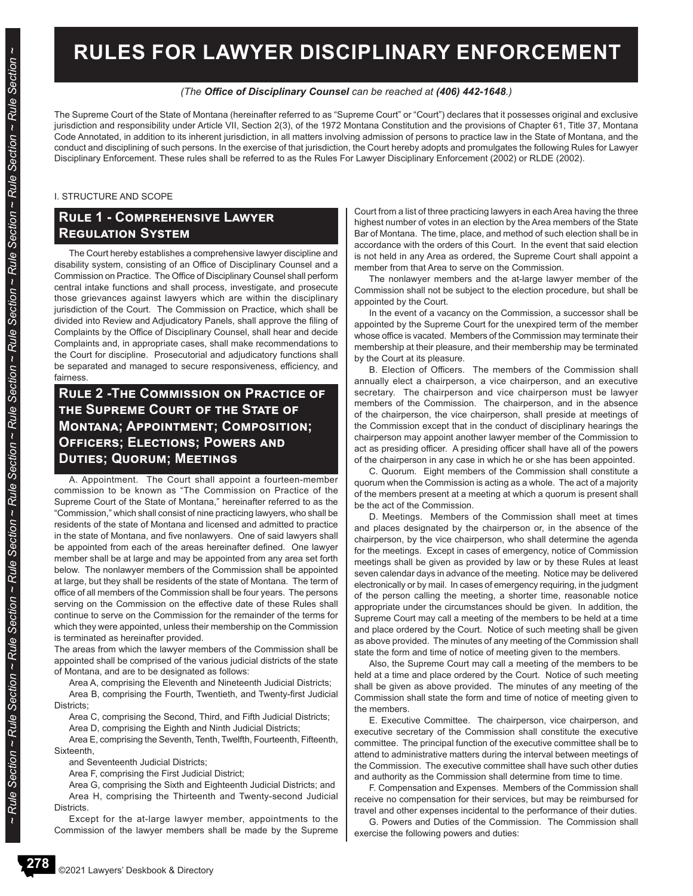# **RULES FOR LAWYER DISCIPLINARY ENFORCEMENT**

#### *(The Office of Disciplinary Counsel can be reached at (406) 442-1648.)*

The Supreme Court of the State of Montana (hereinafter referred to as "Supreme Court" or "Court") declares that it possesses original and exclusive jurisdiction and responsibility under Article VII, Section 2(3), of the 1972 Montana Constitution and the provisions of Chapter 61, Title 37, Montana Code Annotated, in addition to its inherent jurisdiction, in all matters involving admission of persons to practice law in the State of Montana, and the conduct and disciplining of such persons. In the exercise of that jurisdiction, the Court hereby adopts and promulgates the following Rules for Lawyer Disciplinary Enforcement. These rules shall be referred to as the Rules For Lawyer Disciplinary Enforcement (2002) or RLDE (2002).

#### I. STRUCTURE AND SCOPE

# **Rule 1 - Comprehensive Lawyer Regulation System**

The Court hereby establishes a comprehensive lawyer discipline and disability system, consisting of an Office of Disciplinary Counsel and a Commission on Practice. The Office of Disciplinary Counsel shall perform central intake functions and shall process, investigate, and prosecute those grievances against lawyers which are within the disciplinary jurisdiction of the Court. The Commission on Practice, which shall be divided into Review and Adjudicatory Panels, shall approve the filing of Complaints by the Office of Disciplinary Counsel, shall hear and decide Complaints and, in appropriate cases, shall make recommendations to the Court for discipline. Prosecutorial and adjudicatory functions shall be separated and managed to secure responsiveness, efficiency, and fairness.

# **Rule 2 -The Commission on Practice of the Supreme Court of the State of Montana; Appointment; Composition; Officers; Elections; Powers and Duties; Quorum; Meetings**

A. Appointment. The Court shall appoint a fourteen-member commission to be known as "The Commission on Practice of the Supreme Court of the State of Montana," hereinafter referred to as the "Commission," which shall consist of nine practicing lawyers, who shall be residents of the state of Montana and licensed and admitted to practice in the state of Montana, and five nonlawyers. One of said lawyers shall be appointed from each of the areas hereinafter defined. One lawyer member shall be at large and may be appointed from any area set forth below. The nonlawyer members of the Commission shall be appointed at large, but they shall be residents of the state of Montana. The term of office of all members of the Commission shall be four years. The persons serving on the Commission on the effective date of these Rules shall continue to serve on the Commission for the remainder of the terms for which they were appointed, unless their membership on the Commission is terminated as hereinafter provided.

The areas from which the lawyer members of the Commission shall be appointed shall be comprised of the various judicial districts of the state of Montana, and are to be designated as follows:

Area A, comprising the Eleventh and Nineteenth Judicial Districts;

Area B, comprising the Fourth, Twentieth, and Twenty-first Judicial Districts;

Area C, comprising the Second, Third, and Fifth Judicial Districts;

Area D, comprising the Eighth and Ninth Judicial Districts;

Area E, comprising the Seventh, Tenth, Twelfth, Fourteenth, Fifteenth, **Sixteenth** 

and Seventeenth Judicial Districts;

Area F, comprising the First Judicial District;

Area G, comprising the Sixth and Eighteenth Judicial Districts; and Area H, comprising the Thirteenth and Twenty-second Judicial Districts.

Except for the at-large lawyer member, appointments to the Commission of the lawyer members shall be made by the Supreme Court from a list of three practicing lawyers in each Area having the three highest number of votes in an election by the Area members of the State Bar of Montana. The time, place, and method of such election shall be in accordance with the orders of this Court. In the event that said election is not held in any Area as ordered, the Supreme Court shall appoint a member from that Area to serve on the Commission.

The nonlawyer members and the at-large lawyer member of the Commission shall not be subject to the election procedure, but shall be appointed by the Court.

In the event of a vacancy on the Commission, a successor shall be appointed by the Supreme Court for the unexpired term of the member whose office is vacated. Members of the Commission may terminate their membership at their pleasure, and their membership may be terminated by the Court at its pleasure.

B. Election of Officers. The members of the Commission shall annually elect a chairperson, a vice chairperson, and an executive secretary. The chairperson and vice chairperson must be lawyer members of the Commission. The chairperson, and in the absence of the chairperson, the vice chairperson, shall preside at meetings of the Commission except that in the conduct of disciplinary hearings the chairperson may appoint another lawyer member of the Commission to act as presiding officer. A presiding officer shall have all of the powers of the chairperson in any case in which he or she has been appointed.

C. Quorum. Eight members of the Commission shall constitute a quorum when the Commission is acting as a whole. The act of a majority of the members present at a meeting at which a quorum is present shall be the act of the Commission.

D. Meetings. Members of the Commission shall meet at times and places designated by the chairperson or, in the absence of the chairperson, by the vice chairperson, who shall determine the agenda for the meetings. Except in cases of emergency, notice of Commission meetings shall be given as provided by law or by these Rules at least seven calendar days in advance of the meeting. Notice may be delivered electronically or by mail. In cases of emergency requiring, in the judgment of the person calling the meeting, a shorter time, reasonable notice appropriate under the circumstances should be given. In addition, the Supreme Court may call a meeting of the members to be held at a time and place ordered by the Court. Notice of such meeting shall be given as above provided. The minutes of any meeting of the Commission shall state the form and time of notice of meeting given to the members.

Also, the Supreme Court may call a meeting of the members to be held at a time and place ordered by the Court. Notice of such meeting shall be given as above provided. The minutes of any meeting of the Commission shall state the form and time of notice of meeting given to the members.

E. Executive Committee. The chairperson, vice chairperson, and executive secretary of the Commission shall constitute the executive committee. The principal function of the executive committee shall be to attend to administrative matters during the interval between meetings of the Commission. The executive committee shall have such other duties and authority as the Commission shall determine from time to time.

F. Compensation and Expenses. Members of the Commission shall receive no compensation for their services, but may be reimbursed for travel and other expenses incidental to the performance of their duties.

G. Powers and Duties of the Commission. The Commission shall exercise the following powers and duties: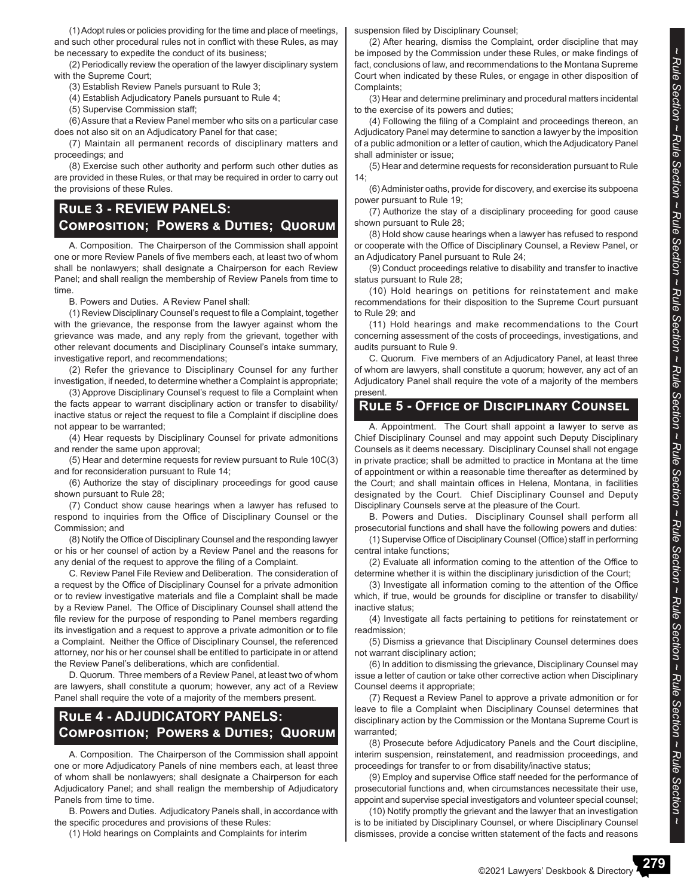(1) Adopt rules or policies providing for the time and place of meetings, and such other procedural rules not in conflict with these Rules, as may be necessary to expedite the conduct of its business;

(2) Periodically review the operation of the lawyer disciplinary system with the Supreme Court;

(3) Establish Review Panels pursuant to Rule 3;

(4) Establish Adjudicatory Panels pursuant to Rule 4;

(5) Supervise Commission staff;

(6) Assure that a Review Panel member who sits on a particular case does not also sit on an Adjudicatory Panel for that case;

(7) Maintain all permanent records of disciplinary matters and proceedings; and

(8) Exercise such other authority and perform such other duties as are provided in these Rules, or that may be required in order to carry out the provisions of these Rules.

# **Rule 3 - REVIEW PANELS: Composition; Powers & Duties; Quorum**

A. Composition. The Chairperson of the Commission shall appoint one or more Review Panels of five members each, at least two of whom shall be nonlawyers; shall designate a Chairperson for each Review Panel; and shall realign the membership of Review Panels from time to time.

B. Powers and Duties. A Review Panel shall:

(1) Review Disciplinary Counsel's request to file a Complaint, together with the grievance, the response from the lawyer against whom the grievance was made, and any reply from the grievant, together with other relevant documents and Disciplinary Counsel's intake summary, investigative report, and recommendations;

(2) Refer the grievance to Disciplinary Counsel for any further investigation, if needed, to determine whether a Complaint is appropriate;

(3) Approve Disciplinary Counsel's request to file a Complaint when the facts appear to warrant disciplinary action or transfer to disability/ inactive status or reject the request to file a Complaint if discipline does not appear to be warranted;

(4) Hear requests by Disciplinary Counsel for private admonitions and render the same upon approval;

(5) Hear and determine requests for review pursuant to Rule 10C(3) and for reconsideration pursuant to Rule 14;

(6) Authorize the stay of disciplinary proceedings for good cause shown pursuant to Rule 28;

(7) Conduct show cause hearings when a lawyer has refused to respond to inquiries from the Office of Disciplinary Counsel or the Commission; and

(8) Notify the Office of Disciplinary Counsel and the responding lawyer or his or her counsel of action by a Review Panel and the reasons for any denial of the request to approve the filing of a Complaint.

C. Review Panel File Review and Deliberation. The consideration of a request by the Office of Disciplinary Counsel for a private admonition or to review investigative materials and file a Complaint shall be made by a Review Panel. The Office of Disciplinary Counsel shall attend the file review for the purpose of responding to Panel members regarding its investigation and a request to approve a private admonition or to file a Complaint. Neither the Office of Disciplinary Counsel, the referenced attorney, nor his or her counsel shall be entitled to participate in or attend the Review Panel's deliberations, which are confidential.

D. Quorum. Three members of a Review Panel, at least two of whom are lawyers, shall constitute a quorum; however, any act of a Review Panel shall require the vote of a majority of the members present.

# **Rule 4 - ADJUDICATORY PANELS: Composition; Powers & Duties; Quorum**

A. Composition. The Chairperson of the Commission shall appoint one or more Adjudicatory Panels of nine members each, at least three of whom shall be nonlawyers; shall designate a Chairperson for each Adjudicatory Panel; and shall realign the membership of Adjudicatory Panels from time to time.

B. Powers and Duties. Adjudicatory Panels shall, in accordance with the specific procedures and provisions of these Rules:

(1) Hold hearings on Complaints and Complaints for interim

suspension filed by Disciplinary Counsel;

(2) After hearing, dismiss the Complaint, order discipline that may be imposed by the Commission under these Rules, or make findings of fact, conclusions of law, and recommendations to the Montana Supreme Court when indicated by these Rules, or engage in other disposition of Complaints;

(3) Hear and determine preliminary and procedural matters incidental to the exercise of its powers and duties;

(4) Following the filing of a Complaint and proceedings thereon, an Adjudicatory Panel may determine to sanction a lawyer by the imposition of a public admonition or a letter of caution, which the Adjudicatory Panel shall administer or issue;

(5) Hear and determine requests for reconsideration pursuant to Rule 14;

(6) Administer oaths, provide for discovery, and exercise its subpoena power pursuant to Rule 19;

(7) Authorize the stay of a disciplinary proceeding for good cause shown pursuant to Rule 28;

(8) Hold show cause hearings when a lawyer has refused to respond or cooperate with the Office of Disciplinary Counsel, a Review Panel, or an Adjudicatory Panel pursuant to Rule 24;

(9) Conduct proceedings relative to disability and transfer to inactive status pursuant to Rule 28;

(10) Hold hearings on petitions for reinstatement and make recommendations for their disposition to the Supreme Court pursuant to Rule 29; and

(11) Hold hearings and make recommendations to the Court concerning assessment of the costs of proceedings, investigations, and audits pursuant to Rule 9.

C. Quorum. Five members of an Adjudicatory Panel, at least three of whom are lawyers, shall constitute a quorum; however, any act of an Adjudicatory Panel shall require the vote of a majority of the members present.

### **Rule 5 - Office of Disciplinary Counsel**

A. Appointment. The Court shall appoint a lawyer to serve as Chief Disciplinary Counsel and may appoint such Deputy Disciplinary Counsels as it deems necessary. Disciplinary Counsel shall not engage in private practice; shall be admitted to practice in Montana at the time of appointment or within a reasonable time thereafter as determined by the Court; and shall maintain offices in Helena, Montana, in facilities designated by the Court. Chief Disciplinary Counsel and Deputy Disciplinary Counsels serve at the pleasure of the Court.

B. Powers and Duties. Disciplinary Counsel shall perform all prosecutorial functions and shall have the following powers and duties:

(1) Supervise Office of Disciplinary Counsel (Office) staff in performing central intake functions;

(2) Evaluate all information coming to the attention of the Office to determine whether it is within the disciplinary jurisdiction of the Court;

(3) Investigate all information coming to the attention of the Office which, if true, would be grounds for discipline or transfer to disability/ inactive status;

(4) Investigate all facts pertaining to petitions for reinstatement or readmission;

(5) Dismiss a grievance that Disciplinary Counsel determines does not warrant disciplinary action;

(6) In addition to dismissing the grievance, Disciplinary Counsel may issue a letter of caution or take other corrective action when Disciplinary Counsel deems it appropriate;

(7) Request a Review Panel to approve a private admonition or for leave to file a Complaint when Disciplinary Counsel determines that disciplinary action by the Commission or the Montana Supreme Court is warranted;

(8) Prosecute before Adjudicatory Panels and the Court discipline, interim suspension, reinstatement, and readmission proceedings, and proceedings for transfer to or from disability/inactive status;

(9) Employ and supervise Office staff needed for the performance of prosecutorial functions and, when circumstances necessitate their use, appoint and supervise special investigators and volunteer special counsel;

(10) Notify promptly the grievant and the lawyer that an investigation is to be initiated by Disciplinary Counsel, or where Disciplinary Counsel dismisses, provide a concise written statement of the facts and reasons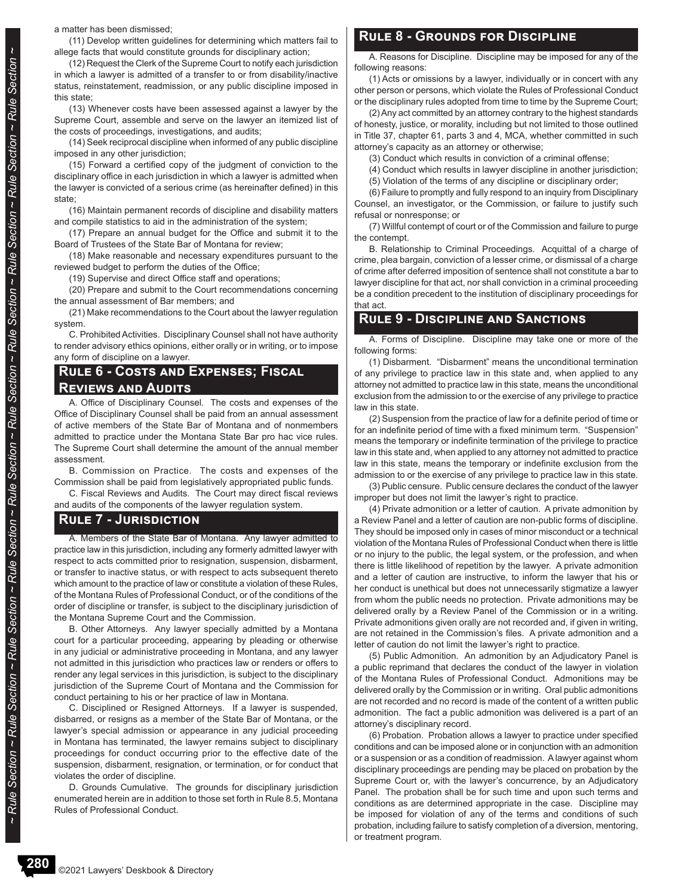a matter has been dismissed;

(11) Develop written guidelines for determining which matters fail to allege facts that would constitute grounds for disciplinary action;

(12) Request the Clerk of the Supreme Court to notify each jurisdiction in which a lawyer is admitted of a transfer to or from disability/inactive status, reinstatement, readmission, or any public discipline imposed in this state;

(13) Whenever costs have been assessed against a lawyer by the Supreme Court, assemble and serve on the lawyer an itemized list of the costs of proceedings, investigations, and audits;

(14) Seek reciprocal discipline when informed of any public discipline imposed in any other jurisdiction;

(15) Forward a certified copy of the judgment of conviction to the disciplinary office in each jurisdiction in which a lawyer is admitted when the lawyer is convicted of a serious crime (as hereinafter defined) in this state;

(16) Maintain permanent records of discipline and disability matters and compile statistics to aid in the administration of the system;

(17) Prepare an annual budget for the Office and submit it to the Board of Trustees of the State Bar of Montana for review;

(18) Make reasonable and necessary expenditures pursuant to the reviewed budget to perform the duties of the Office;

(19) Supervise and direct Office staff and operations;

(20) Prepare and submit to the Court recommendations concerning the annual assessment of Bar members; and

(21) Make recommendations to the Court about the lawyer regulation system.

C. Prohibited Activities. Disciplinary Counsel shall not have authority to render advisory ethics opinions, either orally or in writing, or to impose any form of discipline on a lawyer.

#### **Rule 6 - Costs and Expenses; Fiscal Reviews and Audits**

A. Office of Disciplinary Counsel. The costs and expenses of the Office of Disciplinary Counsel shall be paid from an annual assessment of active members of the State Bar of Montana and of nonmembers admitted to practice under the Montana State Bar pro hac vice rules. The Supreme Court shall determine the amount of the annual member assessment.

B. Commission on Practice. The costs and expenses of the Commission shall be paid from legislatively appropriated public funds.

C. Fiscal Reviews and Audits. The Court may direct fiscal reviews and audits of the components of the lawyer regulation system.

#### **Rule 7 - Jurisdiction**

A. Members of the State Bar of Montana. Any lawyer admitted to practice law in this jurisdiction, including any formerly admitted lawyer with respect to acts committed prior to resignation, suspension, disbarment, or transfer to inactive status, or with respect to acts subsequent thereto which amount to the practice of law or constitute a violation of these Rules, of the Montana Rules of Professional Conduct, or of the conditions of the order of discipline or transfer, is subject to the disciplinary jurisdiction of the Montana Supreme Court and the Commission.

B. Other Attorneys. Any lawyer specially admitted by a Montana court for a particular proceeding, appearing by pleading or otherwise in any judicial or administrative proceeding in Montana, and any lawyer not admitted in this jurisdiction who practices law or renders or offers to render any legal services in this jurisdiction, is subject to the disciplinary jurisdiction of the Supreme Court of Montana and the Commission for conduct pertaining to his or her practice of law in Montana.

C. Disciplined or Resigned Attorneys. If a lawyer is suspended, disbarred, or resigns as a member of the State Bar of Montana, or the lawyer's special admission or appearance in any judicial proceeding in Montana has terminated, the lawyer remains subject to disciplinary proceedings for conduct occurring prior to the effective date of the suspension, disbarment, resignation, or termination, or for conduct that violates the order of discipline.

D. Grounds Cumulative. The grounds for disciplinary jurisdiction enumerated herein are in addition to those set forth in Rule 8.5, Montana Rules of Professional Conduct.

#### **Rule 8 - Grounds for Discipline**

A. Reasons for Discipline. Discipline may be imposed for any of the following reasons:

(1) Acts or omissions by a lawyer, individually or in concert with any other person or persons, which violate the Rules of Professional Conduct or the disciplinary rules adopted from time to time by the Supreme Court;

(2) Any act committed by an attorney contrary to the highest standards of honesty, justice, or morality, including but not limited to those outlined in Title 37, chapter 61, parts 3 and 4, MCA, whether committed in such attorney's capacity as an attorney or otherwise;

(3) Conduct which results in conviction of a criminal offense;

(4) Conduct which results in lawyer discipline in another jurisdiction;

(5) Violation of the terms of any discipline or disciplinary order;

(6) Failure to promptly and fully respond to an inquiry from Disciplinary Counsel, an investigator, or the Commission, or failure to justify such refusal or nonresponse; or

(7) Willful contempt of court or of the Commission and failure to purge the contempt.

B. Relationship to Criminal Proceedings. Acquittal of a charge of crime, plea bargain, conviction of a lesser crime, or dismissal of a charge of crime after deferred imposition of sentence shall not constitute a bar to lawyer discipline for that act, nor shall conviction in a criminal proceeding be a condition precedent to the institution of disciplinary proceedings for that act.

### **Rule 9 - Discipline and Sanctions**

A. Forms of Discipline. Discipline may take one or more of the following forms:

(1) Disbarment. "Disbarment" means the unconditional termination of any privilege to practice law in this state and, when applied to any attorney not admitted to practice law in this state, means the unconditional exclusion from the admission to or the exercise of any privilege to practice law in this state.

(2) Suspension from the practice of law for a definite period of time or for an indefinite period of time with a fixed minimum term. "Suspension" means the temporary or indefinite termination of the privilege to practice law in this state and, when applied to any attorney not admitted to practice law in this state, means the temporary or indefinite exclusion from the admission to or the exercise of any privilege to practice law in this state.

(3) Public censure. Public censure declares the conduct of the lawyer improper but does not limit the lawyer's right to practice.

(4) Private admonition or a letter of caution. A private admonition by a Review Panel and a letter of caution are non-public forms of discipline. They should be imposed only in cases of minor misconduct or a technical violation of the Montana Rules of Professional Conduct when there is little or no injury to the public, the legal system, or the profession, and when there is little likelihood of repetition by the lawyer. A private admonition and a letter of caution are instructive, to inform the lawyer that his or her conduct is unethical but does not unnecessarily stigmatize a lawyer from whom the public needs no protection. Private admonitions may be delivered orally by a Review Panel of the Commission or in a writing. Private admonitions given orally are not recorded and, if given in writing, are not retained in the Commission's files. A private admonition and a letter of caution do not limit the lawyer's right to practice.

(5) Public Admonition. An admonition by an Adjudicatory Panel is a public reprimand that declares the conduct of the lawyer in violation of the Montana Rules of Professional Conduct. Admonitions may be delivered orally by the Commission or in writing. Oral public admonitions are not recorded and no record is made of the content of a written public admonition. The fact a public admonition was delivered is a part of an attorney's disciplinary record.

(6) Probation. Probation allows a lawyer to practice under specified conditions and can be imposed alone or in conjunction with an admonition or a suspension or as a condition of readmission. A lawyer against whom disciplinary proceedings are pending may be placed on probation by the Supreme Court or, with the lawyer's concurrence, by an Adjudicatory Panel. The probation shall be for such time and upon such terms and conditions as are determined appropriate in the case. Discipline may be imposed for violation of any of the terms and conditions of such probation, including failure to satisfy completion of a diversion, mentoring, or treatment program.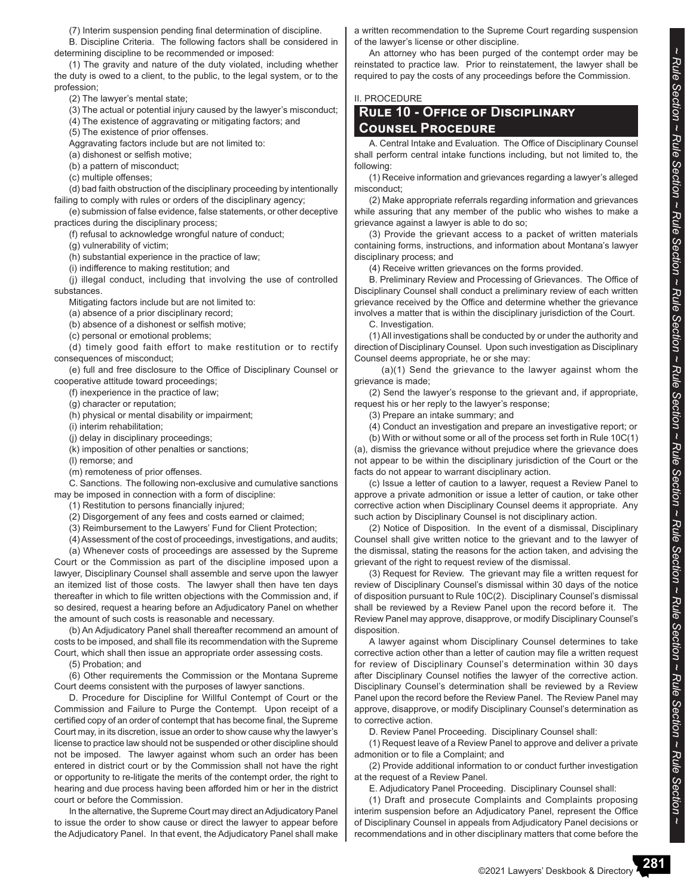(7) Interim suspension pending final determination of discipline.

B. Discipline Criteria. The following factors shall be considered in determining discipline to be recommended or imposed:

(1) The gravity and nature of the duty violated, including whether the duty is owed to a client, to the public, to the legal system, or to the profession;

(2) The lawyer's mental state;

- (3) The actual or potential injury caused by the lawyer's misconduct;
- (4) The existence of aggravating or mitigating factors; and
- (5) The existence of prior offenses.
- Aggravating factors include but are not limited to:
- (a) dishonest or selfish motive;
- (b) a pattern of misconduct;
- (c) multiple offenses;

(d) bad faith obstruction of the disciplinary proceeding by intentionally failing to comply with rules or orders of the disciplinary agency;

(e) submission of false evidence, false statements, or other deceptive practices during the disciplinary process;

(f) refusal to acknowledge wrongful nature of conduct;

(g) vulnerability of victim;

(h) substantial experience in the practice of law;

(i) indifference to making restitution; and

(j) illegal conduct, including that involving the use of controlled substances.

Mitigating factors include but are not limited to:

(a) absence of a prior disciplinary record;

(b) absence of a dishonest or selfish motive;

(c) personal or emotional problems;

(d) timely good faith effort to make restitution or to rectify consequences of misconduct;

(e) full and free disclosure to the Office of Disciplinary Counsel or cooperative attitude toward proceedings;

(f) inexperience in the practice of law;

(g) character or reputation;

(h) physical or mental disability or impairment;

(i) interim rehabilitation;

(j) delay in disciplinary proceedings;

(k) imposition of other penalties or sanctions;

(l) remorse; and

(m) remoteness of prior offenses.

C. Sanctions. The following non-exclusive and cumulative sanctions may be imposed in connection with a form of discipline:

(1) Restitution to persons financially injured;

(2) Disgorgement of any fees and costs earned or claimed;

(3) Reimbursement to the Lawyers' Fund for Client Protection;

(4) Assessment of the cost of proceedings, investigations, and audits;

(a) Whenever costs of proceedings are assessed by the Supreme Court or the Commission as part of the discipline imposed upon a lawyer, Disciplinary Counsel shall assemble and serve upon the lawyer an itemized list of those costs. The lawyer shall then have ten days thereafter in which to file written objections with the Commission and, if so desired, request a hearing before an Adjudicatory Panel on whether the amount of such costs is reasonable and necessary.

(b) An Adjudicatory Panel shall thereafter recommend an amount of costs to be imposed, and shall file its recommendation with the Supreme Court, which shall then issue an appropriate order assessing costs.

(5) Probation; and

(6) Other requirements the Commission or the Montana Supreme Court deems consistent with the purposes of lawyer sanctions.

D. Procedure for Discipline for Willful Contempt of Court or the Commission and Failure to Purge the Contempt. Upon receipt of a certified copy of an order of contempt that has become final, the Supreme Court may, in its discretion, issue an order to show cause why the lawyer's license to practice law should not be suspended or other discipline should not be imposed. The lawyer against whom such an order has been entered in district court or by the Commission shall not have the right or opportunity to re-litigate the merits of the contempt order, the right to hearing and due process having been afforded him or her in the district court or before the Commission.

In the alternative, the Supreme Court may direct an Adjudicatory Panel to issue the order to show cause or direct the lawyer to appear before the Adjudicatory Panel. In that event, the Adjudicatory Panel shall make a written recommendation to the Supreme Court regarding suspension of the lawyer's license or other discipline.

An attorney who has been purged of the contempt order may be reinstated to practice law. Prior to reinstatement, the lawyer shall be required to pay the costs of any proceedings before the Commission.

#### II. PROCEDURE

#### **Rule 10 - Office of Disciplinary Counsel Procedure**

A. Central Intake and Evaluation. The Office of Disciplinary Counsel shall perform central intake functions including, but not limited to, the following:

(1) Receive information and grievances regarding a lawyer's alleged misconduct;

(2) Make appropriate referrals regarding information and grievances while assuring that any member of the public who wishes to make a grievance against a lawyer is able to do so;

(3) Provide the grievant access to a packet of written materials containing forms, instructions, and information about Montana's lawyer disciplinary process; and

(4) Receive written grievances on the forms provided.

B. Preliminary Review and Processing of Grievances. The Office of Disciplinary Counsel shall conduct a preliminary review of each written grievance received by the Office and determine whether the grievance involves a matter that is within the disciplinary jurisdiction of the Court.

C. Investigation.

(1) All investigations shall be conducted by or under the authority and direction of Disciplinary Counsel. Upon such investigation as Disciplinary Counsel deems appropriate, he or she may:

 (a)(1) Send the grievance to the lawyer against whom the grievance is made;

(2) Send the lawyer's response to the grievant and, if appropriate, request his or her reply to the lawyer's response;

(3) Prepare an intake summary; and

(4) Conduct an investigation and prepare an investigative report; or

(b) With or without some or all of the process set forth in Rule 10C(1) (a), dismiss the grievance without prejudice where the grievance does not appear to be within the disciplinary jurisdiction of the Court or the facts do not appear to warrant disciplinary action.

(c) Issue a letter of caution to a lawyer, request a Review Panel to approve a private admonition or issue a letter of caution, or take other corrective action when Disciplinary Counsel deems it appropriate. Any such action by Disciplinary Counsel is not disciplinary action.

(2) Notice of Disposition. In the event of a dismissal, Disciplinary Counsel shall give written notice to the grievant and to the lawyer of the dismissal, stating the reasons for the action taken, and advising the grievant of the right to request review of the dismissal.

(3) Request for Review. The grievant may file a written request for review of Disciplinary Counsel's dismissal within 30 days of the notice of disposition pursuant to Rule 10C(2). Disciplinary Counsel's dismissal shall be reviewed by a Review Panel upon the record before it. The Review Panel may approve, disapprove, or modify Disciplinary Counsel's disposition.

A lawyer against whom Disciplinary Counsel determines to take corrective action other than a letter of caution may file a written request for review of Disciplinary Counsel's determination within 30 days after Disciplinary Counsel notifies the lawyer of the corrective action. Disciplinary Counsel's determination shall be reviewed by a Review Panel upon the record before the Review Panel. The Review Panel may approve, disapprove, or modify Disciplinary Counsel's determination as to corrective action.

D. Review Panel Proceeding. Disciplinary Counsel shall:

(1) Request leave of a Review Panel to approve and deliver a private admonition or to file a Complaint; and

(2) Provide additional information to or conduct further investigation at the request of a Review Panel.

E. Adjudicatory Panel Proceeding. Disciplinary Counsel shall:

(1) Draft and prosecute Complaints and Complaints proposing interim suspension before an Adjudicatory Panel, represent the Office of Disciplinary Counsel in appeals from Adjudicatory Panel decisions or recommendations and in other disciplinary matters that come before the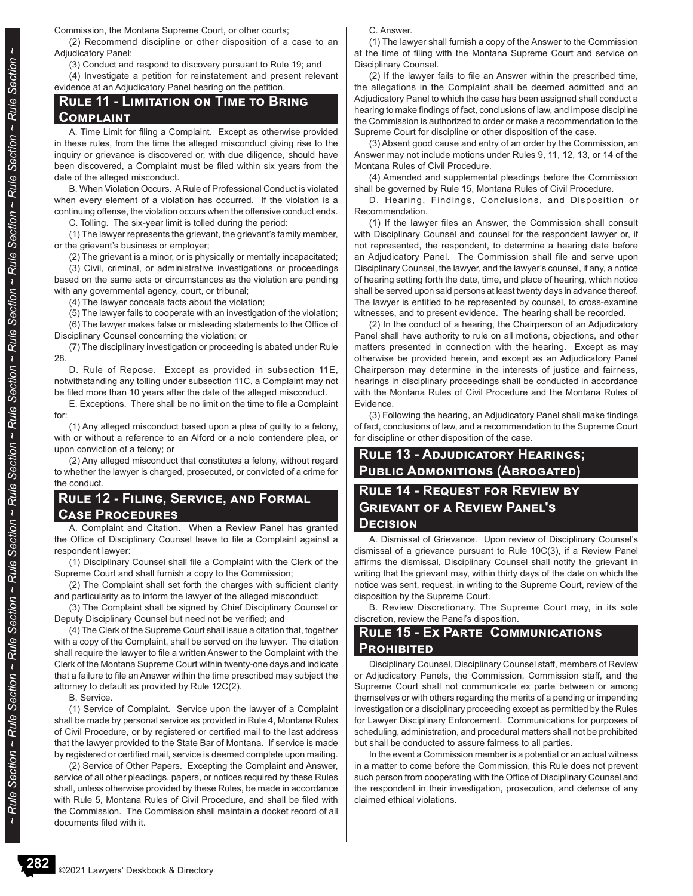Commission, the Montana Supreme Court, or other courts;

(2) Recommend discipline or other disposition of a case to an Adjudicatory Panel;

(3) Conduct and respond to discovery pursuant to Rule 19; and

(4) Investigate a petition for reinstatement and present relevant evidence at an Adjudicatory Panel hearing on the petition.

### **Rule 11 - Limitation on Time to Bring Complaint**

A. Time Limit for filing a Complaint. Except as otherwise provided in these rules, from the time the alleged misconduct giving rise to the inquiry or grievance is discovered or, with due diligence, should have been discovered, a Complaint must be filed within six years from the date of the alleged misconduct.

B. When Violation Occurs. A Rule of Professional Conduct is violated when every element of a violation has occurred. If the violation is a continuing offense, the violation occurs when the offensive conduct ends.

C. Tolling. The six-year limit is tolled during the period:

(1) The lawyer represents the grievant, the grievant's family member, or the grievant's business or employer;

(2) The grievant is a minor, or is physically or mentally incapacitated;

(3) Civil, criminal, or administrative investigations or proceedings based on the same acts or circumstances as the violation are pending with any governmental agency, court, or tribunal;

(4) The lawyer conceals facts about the violation;

(5) The lawyer fails to cooperate with an investigation of the violation; (6) The lawyer makes false or misleading statements to the Office of Disciplinary Counsel concerning the violation; or

(7) The disciplinary investigation or proceeding is abated under Rule 28.

D. Rule of Repose. Except as provided in subsection 11E, notwithstanding any tolling under subsection 11C, a Complaint may not be filed more than 10 years after the date of the alleged misconduct.

E. Exceptions. There shall be no limit on the time to file a Complaint for:

(1) Any alleged misconduct based upon a plea of guilty to a felony, with or without a reference to an Alford or a nolo contendere plea, or upon conviction of a felony; or

(2) Any alleged misconduct that constitutes a felony, without regard to whether the lawyer is charged, prosecuted, or convicted of a crime for the conduct.

### **Rule 12 - Filing, Service, and Formal Case Procedures**

A. Complaint and Citation. When a Review Panel has granted the Office of Disciplinary Counsel leave to file a Complaint against a respondent lawyer:

(1) Disciplinary Counsel shall file a Complaint with the Clerk of the Supreme Court and shall furnish a copy to the Commission;

(2) The Complaint shall set forth the charges with sufficient clarity and particularity as to inform the lawyer of the alleged misconduct;

(3) The Complaint shall be signed by Chief Disciplinary Counsel or Deputy Disciplinary Counsel but need not be verified; and

(4) The Clerk of the Supreme Court shall issue a citation that, together with a copy of the Complaint, shall be served on the lawyer. The citation shall require the lawyer to file a written Answer to the Complaint with the Clerk of the Montana Supreme Court within twenty-one days and indicate that a failure to file an Answer within the time prescribed may subject the attorney to default as provided by Rule 12C(2).

B. Service.

(1) Service of Complaint. Service upon the lawyer of a Complaint shall be made by personal service as provided in Rule 4, Montana Rules of Civil Procedure, or by registered or certified mail to the last address that the lawyer provided to the State Bar of Montana. If service is made by registered or certified mail, service is deemed complete upon mailing.

(2) Service of Other Papers. Excepting the Complaint and Answer, service of all other pleadings, papers, or notices required by these Rules shall, unless otherwise provided by these Rules, be made in accordance with Rule 5, Montana Rules of Civil Procedure, and shall be filed with the Commission. The Commission shall maintain a docket record of all documents filed with it.

C. Answer.

(1) The lawyer shall furnish a copy of the Answer to the Commission at the time of filing with the Montana Supreme Court and service on Disciplinary Counsel.

(2) If the lawyer fails to file an Answer within the prescribed time, the allegations in the Complaint shall be deemed admitted and an Adjudicatory Panel to which the case has been assigned shall conduct a hearing to make findings of fact, conclusions of law, and impose discipline the Commission is authorized to order or make a recommendation to the Supreme Court for discipline or other disposition of the case.

(3) Absent good cause and entry of an order by the Commission, an Answer may not include motions under Rules 9, 11, 12, 13, or 14 of the Montana Rules of Civil Procedure.

(4) Amended and supplemental pleadings before the Commission shall be governed by Rule 15, Montana Rules of Civil Procedure.

D. Hearing, Findings, Conclusions, and Disposition or Recommendation.

(1) If the lawyer files an Answer, the Commission shall consult with Disciplinary Counsel and counsel for the respondent lawyer or, if not represented, the respondent, to determine a hearing date before an Adjudicatory Panel. The Commission shall file and serve upon Disciplinary Counsel, the lawyer, and the lawyer's counsel, if any, a notice of hearing setting forth the date, time, and place of hearing, which notice shall be served upon said persons at least twenty days in advance thereof. The lawyer is entitled to be represented by counsel, to cross-examine witnesses, and to present evidence. The hearing shall be recorded.

(2) In the conduct of a hearing, the Chairperson of an Adjudicatory Panel shall have authority to rule on all motions, objections, and other matters presented in connection with the hearing. Except as may otherwise be provided herein, and except as an Adjudicatory Panel Chairperson may determine in the interests of justice and fairness, hearings in disciplinary proceedings shall be conducted in accordance with the Montana Rules of Civil Procedure and the Montana Rules of Evidence.

(3) Following the hearing, an Adjudicatory Panel shall make findings of fact, conclusions of law, and a recommendation to the Supreme Court for discipline or other disposition of the case.

### **Rule 13 - Adjudicatory Hearings; Public Admonitions (Abrogated)**

### **Rule 14 - Request for Review by Grievant of a Review Panel's Decision**

A. Dismissal of Grievance. Upon review of Disciplinary Counsel's dismissal of a grievance pursuant to Rule 10C(3), if a Review Panel affirms the dismissal, Disciplinary Counsel shall notify the grievant in writing that the grievant may, within thirty days of the date on which the notice was sent, request, in writing to the Supreme Court, review of the disposition by the Supreme Court.

B. Review Discretionary. The Supreme Court may, in its sole discretion, review the Panel's disposition.

### **Rule 15 - Ex Parte Communications Prohibited**

Disciplinary Counsel, Disciplinary Counsel staff, members of Review or Adjudicatory Panels, the Commission, Commission staff, and the Supreme Court shall not communicate ex parte between or among themselves or with others regarding the merits of a pending or impending investigation or a disciplinary proceeding except as permitted by the Rules for Lawyer Disciplinary Enforcement. Communications for purposes of scheduling, administration, and procedural matters shall not be prohibited but shall be conducted to assure fairness to all parties.

In the event a Commission member is a potential or an actual witness in a matter to come before the Commission, this Rule does not prevent such person from cooperating with the Office of Disciplinary Counsel and the respondent in their investigation, prosecution, and defense of any claimed ethical violations.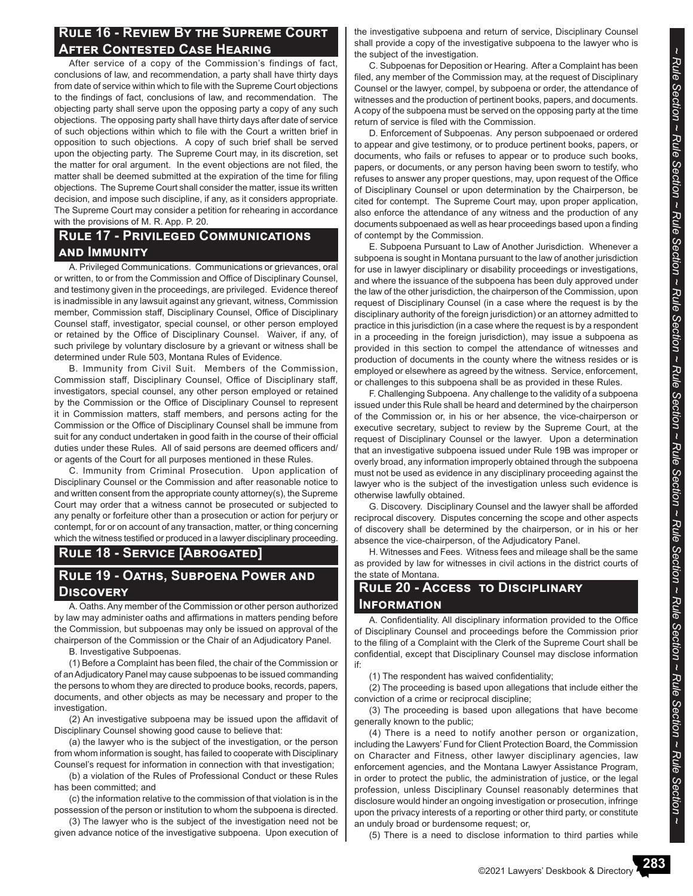### **Rule 16 - Review By the Supreme Court After Contested Case Hearing**

After service of a copy of the Commission's findings of fact, conclusions of law, and recommendation, a party shall have thirty days from date of service within which to file with the Supreme Court objections to the findings of fact, conclusions of law, and recommendation. The objecting party shall serve upon the opposing party a copy of any such objections. The opposing party shall have thirty days after date of service of such objections within which to file with the Court a written brief in opposition to such objections. A copy of such brief shall be served upon the objecting party. The Supreme Court may, in its discretion, set the matter for oral argument. In the event objections are not filed, the matter shall be deemed submitted at the expiration of the time for filing objections. The Supreme Court shall consider the matter, issue its written decision, and impose such discipline, if any, as it considers appropriate. The Supreme Court may consider a petition for rehearing in accordance with the provisions of M. R. App. P. 20.

#### **Rule 17 - Privileged Communications and Immunity**

A. Privileged Communications. Communications or grievances, oral or written, to or from the Commission and Office of Disciplinary Counsel, and testimony given in the proceedings, are privileged. Evidence thereof is inadmissible in any lawsuit against any grievant, witness, Commission member, Commission staff, Disciplinary Counsel, Office of Disciplinary Counsel staff, investigator, special counsel, or other person employed or retained by the Office of Disciplinary Counsel. Waiver, if any, of such privilege by voluntary disclosure by a grievant or witness shall be determined under Rule 503, Montana Rules of Evidence.

B. Immunity from Civil Suit. Members of the Commission, Commission staff, Disciplinary Counsel, Office of Disciplinary staff, investigators, special counsel, any other person employed or retained by the Commission or the Office of Disciplinary Counsel to represent it in Commission matters, staff members, and persons acting for the Commission or the Office of Disciplinary Counsel shall be immune from suit for any conduct undertaken in good faith in the course of their official duties under these Rules. All of said persons are deemed officers and/ or agents of the Court for all purposes mentioned in these Rules.

C. Immunity from Criminal Prosecution. Upon application of Disciplinary Counsel or the Commission and after reasonable notice to and written consent from the appropriate county attorney(s), the Supreme Court may order that a witness cannot be prosecuted or subjected to any penalty or forfeiture other than a prosecution or action for perjury or contempt, for or on account of any transaction, matter, or thing concerning which the witness testified or produced in a lawyer disciplinary proceeding.

### **Rule 18 - Service [Abrogated]**

### **Rule 19 - Oaths, Subpoena Power and Discovery**

A. Oaths. Any member of the Commission or other person authorized by law may administer oaths and affirmations in matters pending before the Commission, but subpoenas may only be issued on approval of the chairperson of the Commission or the Chair of an Adjudicatory Panel.

B. Investigative Subpoenas.

(1) Before a Complaint has been filed, the chair of the Commission or of an Adjudicatory Panel may cause subpoenas to be issued commanding the persons to whom they are directed to produce books, records, papers, documents, and other objects as may be necessary and proper to the investigation.

(2) An investigative subpoena may be issued upon the affidavit of Disciplinary Counsel showing good cause to believe that:

(a) the lawyer who is the subject of the investigation, or the person from whom information is sought, has failed to cooperate with Disciplinary Counsel's request for information in connection with that investigation;

(b) a violation of the Rules of Professional Conduct or these Rules has been committed; and

(c) the information relative to the commission of that violation is in the possession of the person or institution to whom the subpoena is directed.

(3) The lawyer who is the subject of the investigation need not be given advance notice of the investigative subpoena. Upon execution of the investigative subpoena and return of service, Disciplinary Counsel shall provide a copy of the investigative subpoena to the lawyer who is the subject of the investigation.

C. Subpoenas for Deposition or Hearing. After a Complaint has been filed, any member of the Commission may, at the request of Disciplinary Counsel or the lawyer, compel, by subpoena or order, the attendance of witnesses and the production of pertinent books, papers, and documents. A copy of the subpoena must be served on the opposing party at the time return of service is filed with the Commission.

D. Enforcement of Subpoenas. Any person subpoenaed or ordered to appear and give testimony, or to produce pertinent books, papers, or documents, who fails or refuses to appear or to produce such books, papers, or documents, or any person having been sworn to testify, who refuses to answer any proper questions, may, upon request of the Office of Disciplinary Counsel or upon determination by the Chairperson, be cited for contempt. The Supreme Court may, upon proper application, also enforce the attendance of any witness and the production of any documents subpoenaed as well as hear proceedings based upon a finding of contempt by the Commission.

E. Subpoena Pursuant to Law of Another Jurisdiction. Whenever a subpoena is sought in Montana pursuant to the law of another jurisdiction for use in lawyer disciplinary or disability proceedings or investigations, and where the issuance of the subpoena has been duly approved under the law of the other jurisdiction, the chairperson of the Commission, upon request of Disciplinary Counsel (in a case where the request is by the disciplinary authority of the foreign jurisdiction) or an attorney admitted to practice in this jurisdiction (in a case where the request is by a respondent in a proceeding in the foreign jurisdiction), may issue a subpoena as provided in this section to compel the attendance of witnesses and production of documents in the county where the witness resides or is employed or elsewhere as agreed by the witness. Service, enforcement, or challenges to this subpoena shall be as provided in these Rules.

F. Challenging Subpoena. Any challenge to the validity of a subpoena issued under this Rule shall be heard and determined by the chairperson of the Commission or, in his or her absence, the vice-chairperson or executive secretary, subject to review by the Supreme Court, at the request of Disciplinary Counsel or the lawyer. Upon a determination that an investigative subpoena issued under Rule 19B was improper or overly broad, any information improperly obtained through the subpoena must not be used as evidence in any disciplinary proceeding against the lawyer who is the subject of the investigation unless such evidence is otherwise lawfully obtained.

G. Discovery. Disciplinary Counsel and the lawyer shall be afforded reciprocal discovery. Disputes concerning the scope and other aspects of discovery shall be determined by the chairperson, or in his or her absence the vice-chairperson, of the Adjudicatory Panel.

H. Witnesses and Fees. Witness fees and mileage shall be the same as provided by law for witnesses in civil actions in the district courts of the state of Montana.

### **Rule 20 - Access to Disciplinary Information**

A. Confidentiality. All disciplinary information provided to the Office of Disciplinary Counsel and proceedings before the Commission prior to the filing of a Complaint with the Clerk of the Supreme Court shall be confidential, except that Disciplinary Counsel may disclose information if:

(1) The respondent has waived confidentiality;

(2) The proceeding is based upon allegations that include either the conviction of a crime or reciprocal discipline;

(3) The proceeding is based upon allegations that have become generally known to the public;

(4) There is a need to notify another person or organization, including the Lawyers' Fund for Client Protection Board, the Commission on Character and Fitness, other lawyer disciplinary agencies, law enforcement agencies, and the Montana Lawyer Assistance Program, in order to protect the public, the administration of justice, or the legal profession, unless Disciplinary Counsel reasonably determines that disclosure would hinder an ongoing investigation or prosecution, infringe upon the privacy interests of a reporting or other third party, or constitute an unduly broad or burdensome request; or,

(5) There is a need to disclose information to third parties while

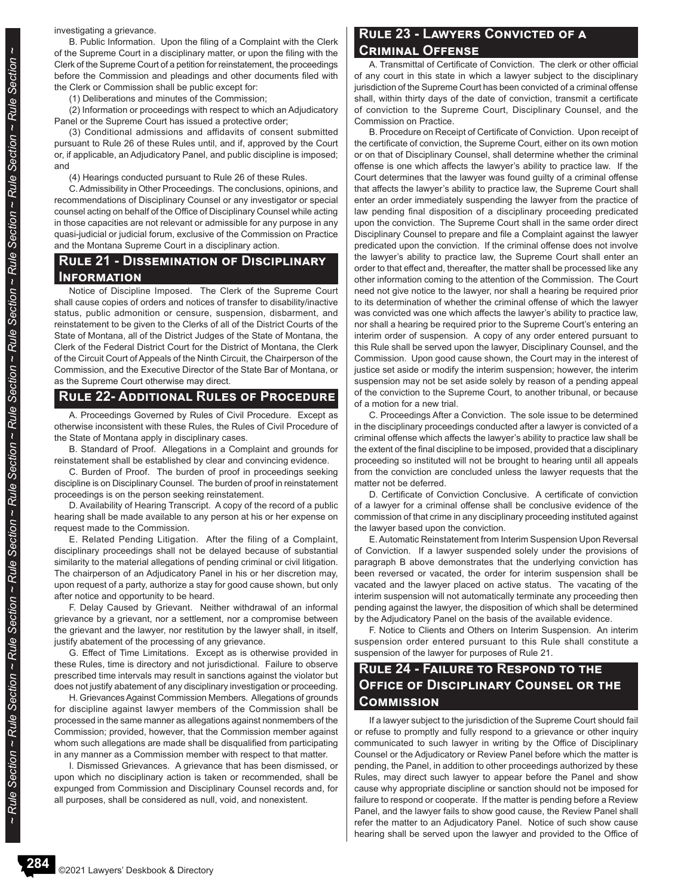investigating a grievance.

B. Public Information. Upon the filing of a Complaint with the Clerk of the Supreme Court in a disciplinary matter, or upon the filing with the Clerk of the Supreme Court of a petition for reinstatement, the proceedings before the Commission and pleadings and other documents filed with the Clerk or Commission shall be public except for:

(1) Deliberations and minutes of the Commission;

(2) Information or proceedings with respect to which an Adjudicatory Panel or the Supreme Court has issued a protective order;

(3) Conditional admissions and affidavits of consent submitted pursuant to Rule 26 of these Rules until, and if, approved by the Court or, if applicable, an Adjudicatory Panel, and public discipline is imposed; and

(4) Hearings conducted pursuant to Rule 26 of these Rules.

C. Admissibility in Other Proceedings. The conclusions, opinions, and recommendations of Disciplinary Counsel or any investigator or special counsel acting on behalf of the Office of Disciplinary Counsel while acting in those capacities are not relevant or admissible for any purpose in any quasi-judicial or judicial forum, exclusive of the Commission on Practice and the Montana Supreme Court in a disciplinary action.

#### **Rule 21 - Dissemination of Disciplinary Information**

Notice of Discipline Imposed. The Clerk of the Supreme Court shall cause copies of orders and notices of transfer to disability/inactive status, public admonition or censure, suspension, disbarment, and reinstatement to be given to the Clerks of all of the District Courts of the State of Montana, all of the District Judges of the State of Montana, the Clerk of the Federal District Court for the District of Montana, the Clerk of the Circuit Court of Appeals of the Ninth Circuit, the Chairperson of the Commission, and the Executive Director of the State Bar of Montana, or as the Supreme Court otherwise may direct.

#### **Rule 22- Additional Rules of Procedure**

A. Proceedings Governed by Rules of Civil Procedure. Except as otherwise inconsistent with these Rules, the Rules of Civil Procedure of the State of Montana apply in disciplinary cases.

B. Standard of Proof. Allegations in a Complaint and grounds for reinstatement shall be established by clear and convincing evidence.

C. Burden of Proof. The burden of proof in proceedings seeking discipline is on Disciplinary Counsel. The burden of proof in reinstatement proceedings is on the person seeking reinstatement.

D. Availability of Hearing Transcript. A copy of the record of a public hearing shall be made available to any person at his or her expense on request made to the Commission.

E. Related Pending Litigation. After the filing of a Complaint, disciplinary proceedings shall not be delayed because of substantial similarity to the material allegations of pending criminal or civil litigation. The chairperson of an Adjudicatory Panel in his or her discretion may, upon request of a party, authorize a stay for good cause shown, but only after notice and opportunity to be heard.

F. Delay Caused by Grievant. Neither withdrawal of an informal grievance by a grievant, nor a settlement, nor a compromise between the grievant and the lawyer, nor restitution by the lawyer shall, in itself, justify abatement of the processing of any grievance.

G. Effect of Time Limitations. Except as is otherwise provided in these Rules, time is directory and not jurisdictional. Failure to observe prescribed time intervals may result in sanctions against the violator but does not justify abatement of any disciplinary investigation or proceeding.

H. Grievances Against Commission Members. Allegations of grounds for discipline against lawyer members of the Commission shall be processed in the same manner as allegations against nonmembers of the Commission; provided, however, that the Commission member against whom such allegations are made shall be disqualified from participating in any manner as a Commission member with respect to that matter.

I. Dismissed Grievances. A grievance that has been dismissed, or upon which no disciplinary action is taken or recommended, shall be expunged from Commission and Disciplinary Counsel records and, for all purposes, shall be considered as null, void, and nonexistent.

#### **Rule 23 - Lawyers Convicted of a Criminal Offense**

A. Transmittal of Certificate of Conviction. The clerk or other official of any court in this state in which a lawyer subject to the disciplinary jurisdiction of the Supreme Court has been convicted of a criminal offense shall, within thirty days of the date of conviction, transmit a certificate of conviction to the Supreme Court, Disciplinary Counsel, and the Commission on Practice.

B. Procedure on Receipt of Certificate of Conviction. Upon receipt of the certificate of conviction, the Supreme Court, either on its own motion or on that of Disciplinary Counsel, shall determine whether the criminal offense is one which affects the lawyer's ability to practice law. If the Court determines that the lawyer was found guilty of a criminal offense that affects the lawyer's ability to practice law, the Supreme Court shall enter an order immediately suspending the lawyer from the practice of law pending final disposition of a disciplinary proceeding predicated upon the conviction. The Supreme Court shall in the same order direct Disciplinary Counsel to prepare and file a Complaint against the lawyer predicated upon the conviction. If the criminal offense does not involve the lawyer's ability to practice law, the Supreme Court shall enter an order to that effect and, thereafter, the matter shall be processed like any other information coming to the attention of the Commission. The Court need not give notice to the lawyer, nor shall a hearing be required prior to its determination of whether the criminal offense of which the lawyer was convicted was one which affects the lawyer's ability to practice law, nor shall a hearing be required prior to the Supreme Court's entering an interim order of suspension. A copy of any order entered pursuant to this Rule shall be served upon the lawyer, Disciplinary Counsel, and the Commission. Upon good cause shown, the Court may in the interest of justice set aside or modify the interim suspension; however, the interim suspension may not be set aside solely by reason of a pending appeal of the conviction to the Supreme Court, to another tribunal, or because of a motion for a new trial.

C. Proceedings After a Conviction. The sole issue to be determined in the disciplinary proceedings conducted after a lawyer is convicted of a criminal offense which affects the lawyer's ability to practice law shall be the extent of the final discipline to be imposed, provided that a disciplinary proceeding so instituted will not be brought to hearing until all appeals from the conviction are concluded unless the lawyer requests that the matter not be deferred.

D. Certificate of Conviction Conclusive. A certificate of conviction of a lawyer for a criminal offense shall be conclusive evidence of the commission of that crime in any disciplinary proceeding instituted against the lawyer based upon the conviction.

E. Automatic Reinstatement from Interim Suspension Upon Reversal of Conviction. If a lawyer suspended solely under the provisions of paragraph B above demonstrates that the underlying conviction has been reversed or vacated, the order for interim suspension shall be vacated and the lawyer placed on active status. The vacating of the interim suspension will not automatically terminate any proceeding then pending against the lawyer, the disposition of which shall be determined by the Adjudicatory Panel on the basis of the available evidence.

F. Notice to Clients and Others on Interim Suspension. An interim suspension order entered pursuant to this Rule shall constitute a suspension of the lawyer for purposes of Rule 21.

### **Rule 24 - Failure to Respond to the Office of Disciplinary Counsel or the Commission**

If a lawyer subject to the jurisdiction of the Supreme Court should fail or refuse to promptly and fully respond to a grievance or other inquiry communicated to such lawyer in writing by the Office of Disciplinary Counsel or the Adjudicatory or Review Panel before which the matter is pending, the Panel, in addition to other proceedings authorized by these Rules, may direct such lawyer to appear before the Panel and show cause why appropriate discipline or sanction should not be imposed for failure to respond or cooperate. If the matter is pending before a Review Panel, and the lawyer fails to show good cause, the Review Panel shall refer the matter to an Adjudicatory Panel. Notice of such show cause hearing shall be served upon the lawyer and provided to the Office of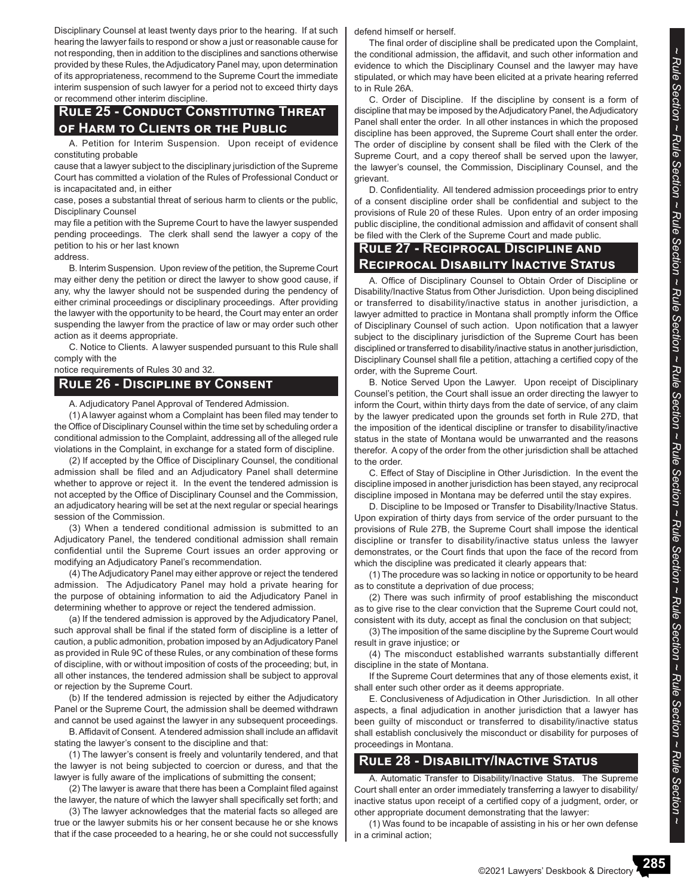Disciplinary Counsel at least twenty days prior to the hearing. If at such hearing the lawyer fails to respond or show a just or reasonable cause for not responding, then in addition to the disciplines and sanctions otherwise provided by these Rules, the Adjudicatory Panel may, upon determination of its appropriateness, recommend to the Supreme Court the immediate interim suspension of such lawyer for a period not to exceed thirty days or recommend other interim discipline.

#### **Rule 25 - Conduct Constituting Threat of Harm to Clients or the Public**

A. Petition for Interim Suspension. Upon receipt of evidence constituting probable

cause that a lawyer subject to the disciplinary jurisdiction of the Supreme Court has committed a violation of the Rules of Professional Conduct or is incapacitated and, in either

case, poses a substantial threat of serious harm to clients or the public, Disciplinary Counsel

may file a petition with the Supreme Court to have the lawyer suspended pending proceedings. The clerk shall send the lawyer a copy of the petition to his or her last known

address.

B. Interim Suspension. Upon review of the petition, the Supreme Court may either deny the petition or direct the lawyer to show good cause, if any, why the lawyer should not be suspended during the pendency of either criminal proceedings or disciplinary proceedings. After providing the lawyer with the opportunity to be heard, the Court may enter an order suspending the lawyer from the practice of law or may order such other action as it deems appropriate.

C. Notice to Clients. A lawyer suspended pursuant to this Rule shall comply with the

notice requirements of Rules 30 and 32.

#### **Rule 26 - Discipline by Consent**

A. Adjudicatory Panel Approval of Tendered Admission.

(1) A lawyer against whom a Complaint has been filed may tender to the Office of Disciplinary Counsel within the time set by scheduling order a conditional admission to the Complaint, addressing all of the alleged rule violations in the Complaint, in exchange for a stated form of discipline.

(2) If accepted by the Office of Disciplinary Counsel, the conditional admission shall be filed and an Adjudicatory Panel shall determine whether to approve or reject it. In the event the tendered admission is not accepted by the Office of Disciplinary Counsel and the Commission, an adjudicatory hearing will be set at the next regular or special hearings session of the Commission.

(3) When a tendered conditional admission is submitted to an Adjudicatory Panel, the tendered conditional admission shall remain confidential until the Supreme Court issues an order approving or modifying an Adjudicatory Panel's recommendation.

(4) The Adjudicatory Panel may either approve or reject the tendered admission. The Adjudicatory Panel may hold a private hearing for the purpose of obtaining information to aid the Adjudicatory Panel in determining whether to approve or reject the tendered admission.

(a) If the tendered admission is approved by the Adjudicatory Panel, such approval shall be final if the stated form of discipline is a letter of caution, a public admonition, probation imposed by an Adjudicatory Panel as provided in Rule 9C of these Rules, or any combination of these forms of discipline, with or without imposition of costs of the proceeding; but, in all other instances, the tendered admission shall be subject to approval or rejection by the Supreme Court.

(b) If the tendered admission is rejected by either the Adjudicatory Panel or the Supreme Court, the admission shall be deemed withdrawn and cannot be used against the lawyer in any subsequent proceedings.

B. Affidavit of Consent. A tendered admission shall include an affidavit stating the lawyer's consent to the discipline and that:

(1) The lawyer's consent is freely and voluntarily tendered, and that the lawyer is not being subjected to coercion or duress, and that the lawyer is fully aware of the implications of submitting the consent;

(2) The lawyer is aware that there has been a Complaint filed against the lawyer, the nature of which the lawyer shall specifically set forth; and

(3) The lawyer acknowledges that the material facts so alleged are true or the lawyer submits his or her consent because he or she knows that if the case proceeded to a hearing, he or she could not successfully defend himself or herself.

The final order of discipline shall be predicated upon the Complaint, the conditional admission, the affidavit, and such other information and evidence to which the Disciplinary Counsel and the lawyer may have stipulated, or which may have been elicited at a private hearing referred to in Rule 26A.

C. Order of Discipline. If the discipline by consent is a form of discipline that may be imposed by the Adjudicatory Panel, the Adjudicatory Panel shall enter the order. In all other instances in which the proposed discipline has been approved, the Supreme Court shall enter the order. The order of discipline by consent shall be filed with the Clerk of the Supreme Court, and a copy thereof shall be served upon the lawyer, the lawyer's counsel, the Commission, Disciplinary Counsel, and the grievant.

D. Confidentiality. All tendered admission proceedings prior to entry of a consent discipline order shall be confidential and subject to the provisions of Rule 20 of these Rules. Upon entry of an order imposing public discipline, the conditional admission and affidavit of consent shall be filed with the Clerk of the Supreme Court and made public.

### **Rule 27 - Reciprocal Discipline and Reciprocal Disability Inactive Status**

A. Office of Disciplinary Counsel to Obtain Order of Discipline or Disability/Inactive Status from Other Jurisdiction. Upon being disciplined or transferred to disability/inactive status in another jurisdiction, a lawyer admitted to practice in Montana shall promptly inform the Office of Disciplinary Counsel of such action. Upon notification that a lawyer subject to the disciplinary jurisdiction of the Supreme Court has been disciplined or transferred to disability/inactive status in another jurisdiction, Disciplinary Counsel shall file a petition, attaching a certified copy of the order, with the Supreme Court.

B. Notice Served Upon the Lawyer. Upon receipt of Disciplinary Counsel's petition, the Court shall issue an order directing the lawyer to inform the Court, within thirty days from the date of service, of any claim by the lawyer predicated upon the grounds set forth in Rule 27D, that the imposition of the identical discipline or transfer to disability/inactive status in the state of Montana would be unwarranted and the reasons therefor. A copy of the order from the other jurisdiction shall be attached to the order.

C. Effect of Stay of Discipline in Other Jurisdiction. In the event the discipline imposed in another jurisdiction has been stayed, any reciprocal discipline imposed in Montana may be deferred until the stay expires.

D. Discipline to be Imposed or Transfer to Disability/Inactive Status. Upon expiration of thirty days from service of the order pursuant to the provisions of Rule 27B, the Supreme Court shall impose the identical discipline or transfer to disability/inactive status unless the lawyer demonstrates, or the Court finds that upon the face of the record from which the discipline was predicated it clearly appears that:

(1) The procedure was so lacking in notice or opportunity to be heard as to constitute a deprivation of due process;

(2) There was such infirmity of proof establishing the misconduct as to give rise to the clear conviction that the Supreme Court could not, consistent with its duty, accept as final the conclusion on that subject;

(3) The imposition of the same discipline by the Supreme Court would result in grave injustice; or

(4) The misconduct established warrants substantially different discipline in the state of Montana.

If the Supreme Court determines that any of those elements exist, it shall enter such other order as it deems appropriate.

E. Conclusiveness of Adjudication in Other Jurisdiction. In all other aspects, a final adjudication in another jurisdiction that a lawyer has been guilty of misconduct or transferred to disability/inactive status shall establish conclusively the misconduct or disability for purposes of proceedings in Montana.

#### **Rule 28 - Disability/Inactive Status**

A. Automatic Transfer to Disability/Inactive Status. The Supreme Court shall enter an order immediately transferring a lawyer to disability/ inactive status upon receipt of a certified copy of a judgment, order, or other appropriate document demonstrating that the lawyer:

(1) Was found to be incapable of assisting in his or her own defense in a criminal action;

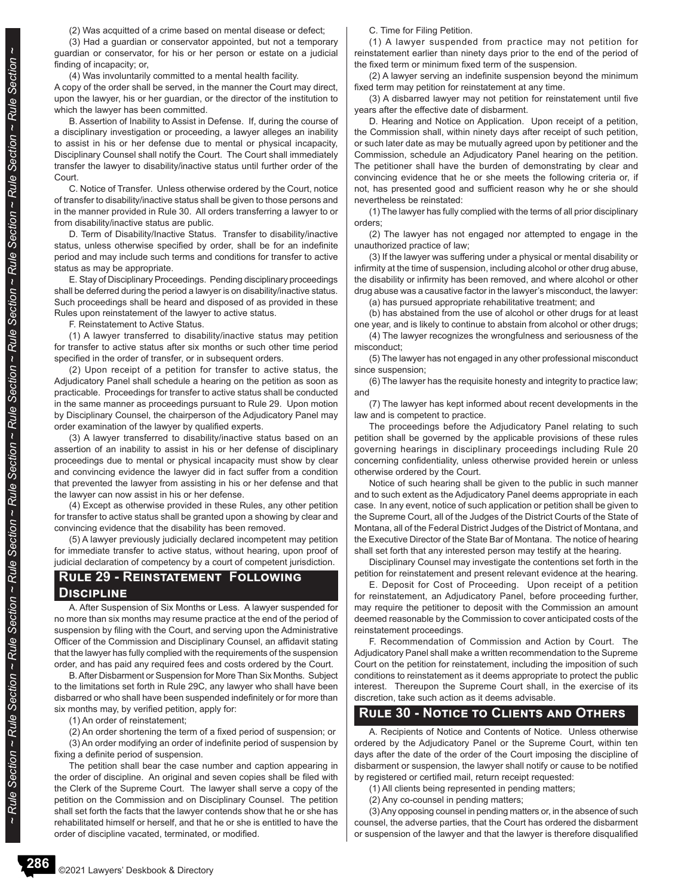(2) Was acquitted of a crime based on mental disease or defect;

(3) Had a guardian or conservator appointed, but not a temporary guardian or conservator, for his or her person or estate on a judicial finding of incapacity; or,

(4) Was involuntarily committed to a mental health facility.

A copy of the order shall be served, in the manner the Court may direct, upon the lawyer, his or her guardian, or the director of the institution to which the lawyer has been committed.

B. Assertion of Inability to Assist in Defense. If, during the course of a disciplinary investigation or proceeding, a lawyer alleges an inability to assist in his or her defense due to mental or physical incapacity, Disciplinary Counsel shall notify the Court. The Court shall immediately transfer the lawyer to disability/inactive status until further order of the Court.

C. Notice of Transfer. Unless otherwise ordered by the Court, notice of transfer to disability/inactive status shall be given to those persons and in the manner provided in Rule 30. All orders transferring a lawyer to or from disability/inactive status are public.

D. Term of Disability/Inactive Status. Transfer to disability/inactive status, unless otherwise specified by order, shall be for an indefinite period and may include such terms and conditions for transfer to active status as may be appropriate.

E. Stay of Disciplinary Proceedings. Pending disciplinary proceedings shall be deferred during the period a lawyer is on disability/inactive status. Such proceedings shall be heard and disposed of as provided in these Rules upon reinstatement of the lawyer to active status.

F. Reinstatement to Active Status.

(1) A lawyer transferred to disability/inactive status may petition for transfer to active status after six months or such other time period specified in the order of transfer, or in subsequent orders.

(2) Upon receipt of a petition for transfer to active status, the Adjudicatory Panel shall schedule a hearing on the petition as soon as practicable. Proceedings for transfer to active status shall be conducted in the same manner as proceedings pursuant to Rule 29. Upon motion by Disciplinary Counsel, the chairperson of the Adjudicatory Panel may order examination of the lawyer by qualified experts.

(3) A lawyer transferred to disability/inactive status based on an assertion of an inability to assist in his or her defense of disciplinary proceedings due to mental or physical incapacity must show by clear and convincing evidence the lawyer did in fact suffer from a condition that prevented the lawyer from assisting in his or her defense and that the lawyer can now assist in his or her defense.

(4) Except as otherwise provided in these Rules, any other petition for transfer to active status shall be granted upon a showing by clear and convincing evidence that the disability has been removed.

(5) A lawyer previously judicially declared incompetent may petition for immediate transfer to active status, without hearing, upon proof of judicial declaration of competency by a court of competent jurisdiction.

#### **Rule 29 - Reinstatement Following**

#### **Discipline**

A. After Suspension of Six Months or Less. A lawyer suspended for no more than six months may resume practice at the end of the period of suspension by filing with the Court, and serving upon the Administrative Officer of the Commission and Disciplinary Counsel, an affidavit stating that the lawyer has fully complied with the requirements of the suspension order, and has paid any required fees and costs ordered by the Court.

B. After Disbarment or Suspension for More Than Six Months. Subject to the limitations set forth in Rule 29C, any lawyer who shall have been disbarred or who shall have been suspended indefinitely or for more than six months may, by verified petition, apply for:

(1) An order of reinstatement;

(2) An order shortening the term of a fixed period of suspension; or (3) An order modifying an order of indefinite period of suspension by fixing a definite period of suspension.

The petition shall bear the case number and caption appearing in the order of discipline. An original and seven copies shall be filed with the Clerk of the Supreme Court. The lawyer shall serve a copy of the petition on the Commission and on Disciplinary Counsel. The petition shall set forth the facts that the lawyer contends show that he or she has rehabilitated himself or herself, and that he or she is entitled to have the order of discipline vacated, terminated, or modified.

C. Time for Filing Petition.

(1) A lawyer suspended from practice may not petition for reinstatement earlier than ninety days prior to the end of the period of the fixed term or minimum fixed term of the suspension.

(2) A lawyer serving an indefinite suspension beyond the minimum fixed term may petition for reinstatement at any time.

(3) A disbarred lawyer may not petition for reinstatement until five years after the effective date of disbarment.

D. Hearing and Notice on Application. Upon receipt of a petition, the Commission shall, within ninety days after receipt of such petition, or such later date as may be mutually agreed upon by petitioner and the Commission, schedule an Adjudicatory Panel hearing on the petition. The petitioner shall have the burden of demonstrating by clear and convincing evidence that he or she meets the following criteria or, if not, has presented good and sufficient reason why he or she should nevertheless be reinstated:

(1) The lawyer has fully complied with the terms of all prior disciplinary orders;

(2) The lawyer has not engaged nor attempted to engage in the unauthorized practice of law;

(3) If the lawyer was suffering under a physical or mental disability or infirmity at the time of suspension, including alcohol or other drug abuse, the disability or infirmity has been removed, and where alcohol or other drug abuse was a causative factor in the lawyer's misconduct, the lawyer:

(a) has pursued appropriate rehabilitative treatment; and

(b) has abstained from the use of alcohol or other drugs for at least one year, and is likely to continue to abstain from alcohol or other drugs;

(4) The lawyer recognizes the wrongfulness and seriousness of the misconduct;

(5) The lawyer has not engaged in any other professional misconduct since suspension;

(6) The lawyer has the requisite honesty and integrity to practice law; and

(7) The lawyer has kept informed about recent developments in the law and is competent to practice.

The proceedings before the Adjudicatory Panel relating to such petition shall be governed by the applicable provisions of these rules governing hearings in disciplinary proceedings including Rule 20 concerning confidentiality, unless otherwise provided herein or unless otherwise ordered by the Court.

Notice of such hearing shall be given to the public in such manner and to such extent as the Adjudicatory Panel deems appropriate in each case. In any event, notice of such application or petition shall be given to the Supreme Court, all of the Judges of the District Courts of the State of Montana, all of the Federal District Judges of the District of Montana, and the Executive Director of the State Bar of Montana. The notice of hearing shall set forth that any interested person may testify at the hearing.

Disciplinary Counsel may investigate the contentions set forth in the petition for reinstatement and present relevant evidence at the hearing.

E. Deposit for Cost of Proceeding. Upon receipt of a petition for reinstatement, an Adjudicatory Panel, before proceeding further, may require the petitioner to deposit with the Commission an amount deemed reasonable by the Commission to cover anticipated costs of the reinstatement proceedings.

F. Recommendation of Commission and Action by Court. The Adjudicatory Panel shall make a written recommendation to the Supreme Court on the petition for reinstatement, including the imposition of such conditions to reinstatement as it deems appropriate to protect the public interest. Thereupon the Supreme Court shall, in the exercise of its discretion, take such action as it deems advisable.

#### **Rule 30 - Notice to Clients and Others**

A. Recipients of Notice and Contents of Notice. Unless otherwise ordered by the Adjudicatory Panel or the Supreme Court, within ten days after the date of the order of the Court imposing the discipline of disbarment or suspension, the lawyer shall notify or cause to be notified by registered or certified mail, return receipt requested:

(1) All clients being represented in pending matters;

(2) Any co-counsel in pending matters;

(3) Any opposing counsel in pending matters or, in the absence of such counsel, the adverse parties, that the Court has ordered the disbarment or suspension of the lawyer and that the lawyer is therefore disqualified